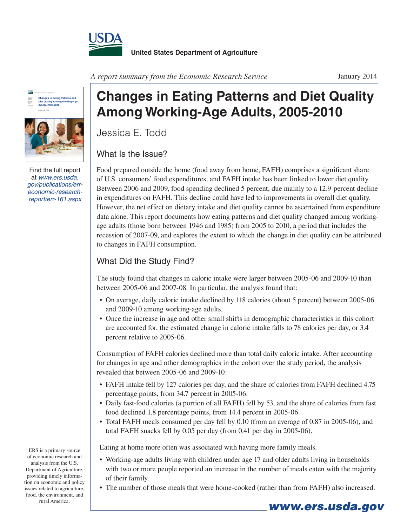



Find the full report at *[www.ers.usda.](http://www.ers.usda.gov/publications/err-economic-research-report/err-161.aspx) [gov/publications/err](http://www.ers.usda.gov/publications/err-economic-research-report/err-161.aspx)[economic-research](http://www.ers.usda.gov/publications/err-economic-research-report/err-161.aspx)[report/err-161.aspx](http://www.ers.usda.gov/publications/err-economic-research-report/err-161.aspx)*

**Changes in Eating Patterns and Diet Quality Among Working-Age Adults, 2005-2010**

Jessica E. Todd

## What Is the Issue?

Food prepared outside the home (food away from home, FAFH) comprises a significant share of U.S. consumers' food expenditures, and FAFH intake has been linked to lower diet quality. Between 2006 and 2009, food spending declined 5 percent, due mainly to a 12.9-percent decline in expenditures on FAFH. This decline could have led to improvements in overall diet quality. However, the net effect on dietary intake and diet quality cannot be ascertained from expenditure data alone. This report documents how eating patterns and diet quality changed among workingage adults (those born between 1946 and 1985) from 2005 to 2010, a period that includes the recession of 2007-09, and explores the extent to which the change in diet quality can be attributed to changes in FAFH consumption.

## What Did the Study Find?

The study found that changes in caloric intake were larger between 2005-06 and 2009-10 than between 2005-06 and 2007-08. In particular, the analysis found that:

- On average, daily caloric intake declined by 118 calories (about 5 percent) between 2005-06 and 2009-10 among working-age adults.
- Once the increase in age and other small shifts in demographic characteristics in this cohort are accounted for, the estimated change in caloric intake falls to 78 calories per day, or 3.4 percent relative to 2005-06.

Consumption of FAFH calories declined more than total daily caloric intake. After accounting for changes in age and other demographics in the cohort over the study period, the analysis revealed that between 2005-06 and 2009-10:

- FAFH intake fell by 127 calories per day, and the share of calories from FAFH declined 4.75 percentage points, from 34.7 percent in 2005-06.
- Daily fast-food calories (a portion of all FAFH) fell by 53, and the share of calories from fast food declined 1.8 percentage points, from 14.4 percent in 2005-06.
- Total FAFH meals consumed per day fell by 0.10 (from an average of 0.87 in 2005-06), and total FAFH snacks fell by 0.05 per day (from 0.41 per day in 2005-06).

Eating at home more often was associated with having more family meals.

- Working-age adults living with children under age 17 and older adults living in households with two or more people reported an increase in the number of meals eaten with the majority of their family.
- The number of those meals that were home-cooked (rather than from FAFH) also increased.

*www.ers.usda.gov*

of economic research and analysis from the U.S. Department of Agriculture, providing timely information on economic and policy issues related to agriculture, food, the environment, and rural America.

ERS is a primary source